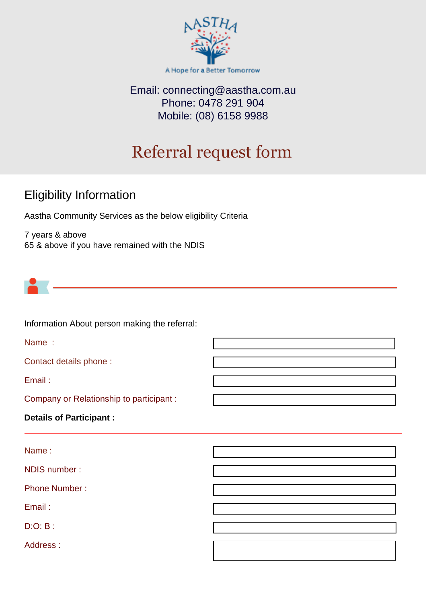

## Email: [connecting@aastha.com.au](mailto:connecting@aastha.com.au) Phone: 0478 291 904 Mobile: (08) 6158 9988

# Referral request form

# Eligibility Information

Aastha Community Services as the below eligibility Criteria

7 years & above 65 & above if you have remained with the NDIS



Information About person making the referral:

Name :

Contact details phone :

Email :

Company or Relationship to participant :

#### **Details of Participant :**

Name :

NDIS number :

Phone Number :

Email :

D:O: B :

Address :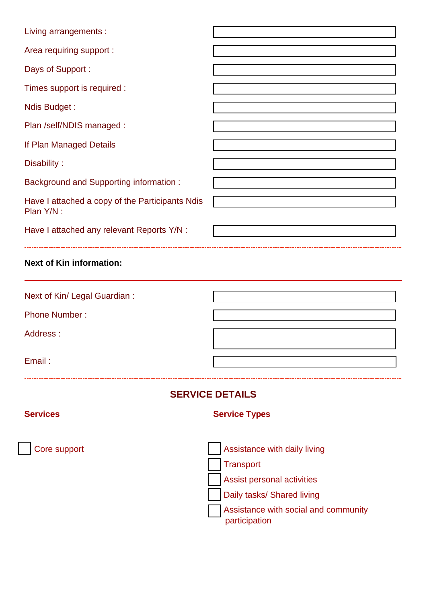| Living arrangements :                                         |                                                                                                                                                                       |  |
|---------------------------------------------------------------|-----------------------------------------------------------------------------------------------------------------------------------------------------------------------|--|
| Area requiring support :                                      |                                                                                                                                                                       |  |
| Days of Support:                                              |                                                                                                                                                                       |  |
| Times support is required :                                   |                                                                                                                                                                       |  |
| Ndis Budget:                                                  |                                                                                                                                                                       |  |
| Plan /self/NDIS managed :                                     |                                                                                                                                                                       |  |
| If Plan Managed Details                                       |                                                                                                                                                                       |  |
| Disability:                                                   |                                                                                                                                                                       |  |
| <b>Background and Supporting information:</b>                 |                                                                                                                                                                       |  |
| Have I attached a copy of the Participants Ndis<br>Plan Y/N : |                                                                                                                                                                       |  |
| Have I attached any relevant Reports Y/N :                    |                                                                                                                                                                       |  |
| <b>Next of Kin information:</b>                               |                                                                                                                                                                       |  |
| Next of Kin/ Legal Guardian :                                 |                                                                                                                                                                       |  |
| <b>Phone Number:</b>                                          |                                                                                                                                                                       |  |
| Address:                                                      |                                                                                                                                                                       |  |
| Email:                                                        |                                                                                                                                                                       |  |
| <b>SERVICE DETAILS</b>                                        |                                                                                                                                                                       |  |
| <b>Services</b>                                               | <b>Service Types</b>                                                                                                                                                  |  |
| Core support                                                  | Assistance with daily living<br><b>Transport</b><br>Assist personal activities<br>Daily tasks/ Shared living<br>Assistance with social and community<br>participation |  |